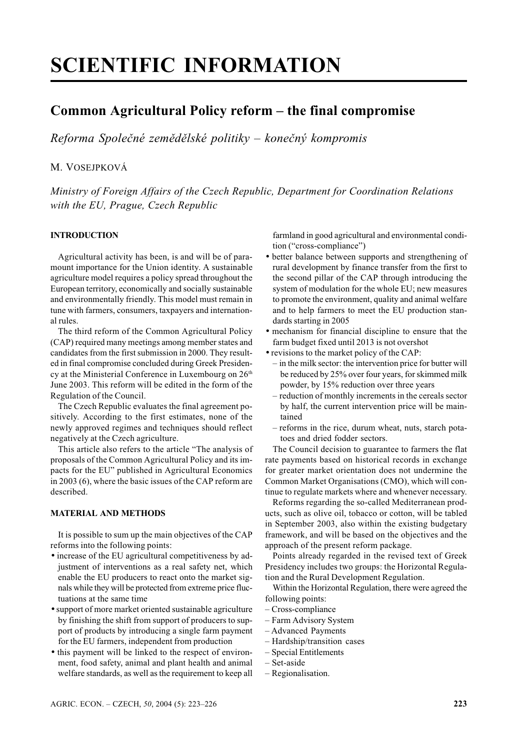# **SCIENTIFIC INFORMATION**

# Common Agricultural Policy reform – the final compromise

Reforma Společné zemědělské politiky – konečný kompromis

# M. VOSEJPKOVÁ

Ministry of Foreign Affairs of the Czech Republic, Department for Coordination Relations with the EU, Prague, Czech Republic

# **INTRODUCTION**

Agricultural activity has been, is and will be of paramount importance for the Union identity. A sustainable agriculture model requires a policy spread throughout the European territory, economically and socially sustainable and environmentally friendly. This model must remain in tune with farmers, consumers, taxpayers and international rules.

The third reform of the Common Agricultural Policy (CAP) required many meetings among member states and candidates from the first submission in 2000. They resulted in final compromise concluded during Greek Presidency at the Ministerial Conference in Luxembourg on 26<sup>th</sup> June 2003. This reform will be edited in the form of the Regulation of the Council.

The Czech Republic evaluates the final agreement positively. According to the first estimates, none of the newly approved regimes and techniques should reflect negatively at the Czech agriculture.

This article also refers to the article "The analysis of proposals of the Common Agricultural Policy and its impacts for the EU" published in Agricultural Economics in 2003 (6), where the basic issues of the CAP reform are described.

#### **MATERIAL AND METHODS**

It is possible to sum up the main objectives of the CAP reforms into the following points:

- increase of the EU agricultural competitiveness by adjustment of interventions as a real safety net, which enable the EU producers to react onto the market signals while they will be protected from extreme price fluctuations at the same time
- support of more market oriented sustainable agriculture by finishing the shift from support of producers to support of products by introducing a single farm payment for the EU farmers, independent from production
- this payment will be linked to the respect of environment, food safety, animal and plant health and animal welfare standards, as well as the requirement to keep all

farmland in good agricultural and environmental condition ("cross-compliance")

- better balance between supports and strengthening of rural development by finance transfer from the first to the second pillar of the CAP through introducing the system of modulation for the whole EU; new measures to promote the environment, quality and animal welfare and to help farmers to meet the EU production standards starting in 2005
- mechanism for financial discipline to ensure that the farm budget fixed until 2013 is not overshot
- revisions to the market policy of the CAP:
	- in the milk sector: the intervention price for butter will be reduced by 25% over four years, for skimmed milk powder, by 15% reduction over three years
	- reduction of monthly increments in the cereals sector by half, the current intervention price will be maintained
	- reforms in the rice, durum wheat, nuts, starch potatoes and dried fodder sectors.

The Council decision to guarantee to farmers the flat rate payments based on historical records in exchange for greater market orientation does not undermine the Common Market Organisations (CMO), which will continue to regulate markets where and whenever necessary.

Reforms regarding the so-called Mediterranean products, such as olive oil, tobacco or cotton, will be tabled in September 2003, also within the existing budgetary framework, and will be based on the objectives and the approach of the present reform package.

Points already regarded in the revised text of Greek Presidency includes two groups: the Horizontal Regulation and the Rural Development Regulation.

Within the Horizontal Regulation, there were agreed the following points:

- $-$  Cross-compliance
- Farm Advisory System
- Advanced Payments
- Hardship/transition cases
- $-$  Special Entitlements
- $-$  Set-aside
- Regionalisation.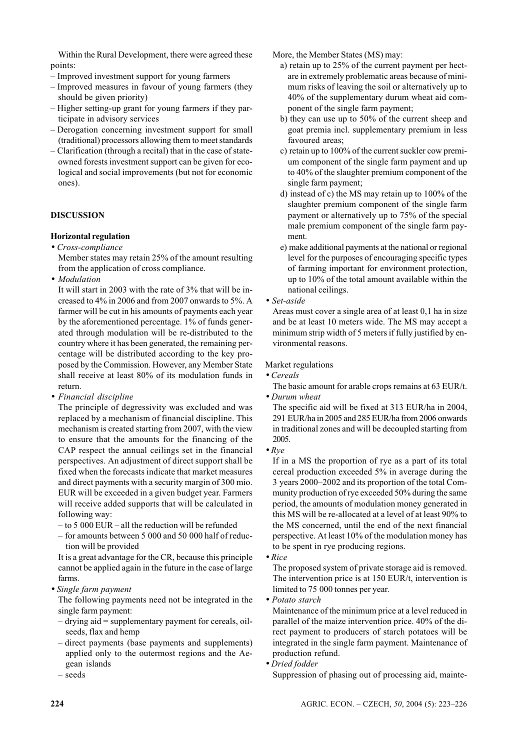Within the Rural Development, there were agreed these points:

- Improved investment support for young farmers
- Improved measures in favour of young farmers (they should be given priority)
- Higher setting-up grant for young farmers if they participate in advisory services
- Derogation concerning investment support for small (traditional) processors allowing them to meet standards
- Clarification (through a recital) that in the case of stateowned forests investment support can be given for ecological and social improvements (but not for economic ones).

# **DISCUSSION**

# **Horizontal regulation**

- $\bullet$  Cross-compliance Member states may retain 25% of the amount resulting from the application of cross compliance.
- $\bullet$  Modulation

It will start in 2003 with the rate of  $3\%$  that will be increased to  $4\%$  in 2006 and from 2007 onwards to  $5\%$ . A farmer will be cut in his amounts of payments each year by the aforementioned percentage. 1% of funds generated through modulation will be re-distributed to the country where it has been generated, the remaining percentage will be distributed according to the key proposed by the Commission. However, any Member State shall receive at least 80% of its modulation funds in return.

• Financial discipline

The principle of degressivity was excluded and was replaced by a mechanism of financial discipline. This mechanism is created starting from 2007, with the view to ensure that the amounts for the financing of the CAP respect the annual ceilings set in the financial perspectives. An adjustment of direct support shall be fixed when the forecasts indicate that market measures and direct payments with a security margin of 300 mio. EUR will be exceeded in a given budget year. Farmers will receive added supports that will be calculated in following way:

- $-$  to 5 000 EUR  $-$  all the reduction will be refunded
- $-$  for amounts between 5 000 and 50 000 half of reduction will be provided

It is a great advantage for the CR, because this principle cannot be applied again in the future in the case of large farms.

• Single farm payment

The following payments need not be integrated in the single farm payment:

- drying aid = supplementary payment for cereals, oilseeds, flax and hemp
- direct payments (base payments and supplements) applied only to the outermost regions and the Aegean islands
- $-$  seeds

More, the Member States (MS) may:

- a) retain up to 25% of the current payment per hectare in extremely problematic areas because of minimum risks of leaving the soil or alternatively up to 40% of the supplementary durum wheat aid component of the single farm payment;
- b) they can use up to  $50\%$  of the current sheep and goat premia incl. supplementary premium in less favoured areas:
- c) retain up to  $100\%$  of the current suckler cow premium component of the single farm payment and up to 40% of the slaughter premium component of the single farm payment:
- d) instead of c) the MS may retain up to  $100\%$  of the slaughter premium component of the single farm payment or alternatively up to 75% of the special male premium component of the single farm payment.
- e) make additional payments at the national or regional level for the purposes of encouraging specific types of farming important for environment protection, up to 10% of the total amount available within the national ceilings.
- $\bullet$  Set-aside

Areas must cover a single area of at least 0,1 ha in size and be at least 10 meters wide. The MS may accept a minimum strip width of 5 meters if fully justified by environmental reasons.

# Market regulations

- $\bullet$  Cereals
- The basic amount for arable crops remains at 63 EUR/t.
- $\bullet$  Durum wheat The specific aid will be fixed at 313 EUR/ha in 2004, 291 EUR/ha in 2005 and 285 EUR/ha from 2006 onwards in traditional zones and will be decoupled starting from 2005.
- $\bullet$  Rve

If in a MS the proportion of rye as a part of its total cereal production exceeded 5% in average during the 3 years 2000-2002 and its proportion of the total Community production of rye exceeded 50% during the same period, the amounts of modulation money generated in this MS will be re-allocated at a level of at least 90% to the MS concerned, until the end of the next financial perspective. At least 10% of the modulation money has to be spent in rye producing regions.

 $\bullet$  Rice

The proposed system of private storage aid is removed. The intervention price is at 150 EUR/t, intervention is limited to 75 000 tonnes per year.

 $\bullet$  Potato starch

Maintenance of the minimum price at a level reduced in parallel of the maize intervention price. 40% of the direct payment to producers of starch potatoes will be integrated in the single farm payment. Maintenance of production refund.

· Dried fodder

Suppression of phasing out of processing aid, mainte-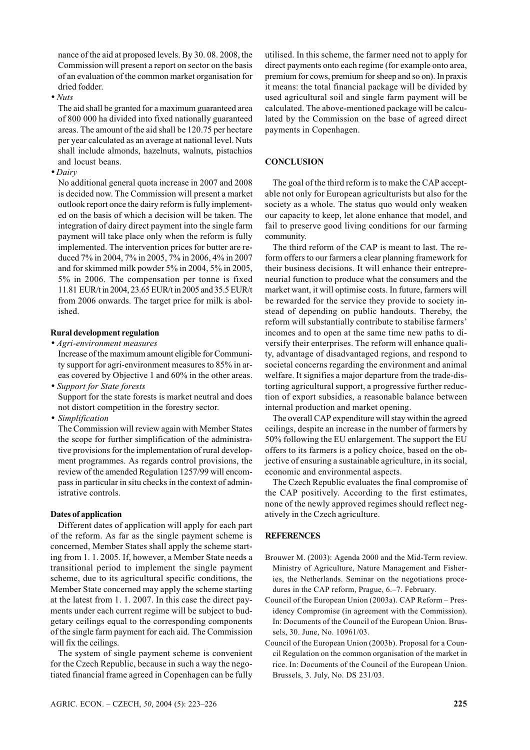nance of the aid at proposed levels. By 30, 08, 2008, the Commission will present a report on sector on the basis of an evaluation of the common market organisation for dried fodder.

 $\bullet$  Nuts

The aid shall be granted for a maximum guaranteed area of 800 000 ha divided into fixed nationally guaranteed areas. The amount of the aid shall be 120.75 per hectare per year calculated as an average at national level. Nuts shall include almonds, hazelnuts, walnuts, pistachios and locust beans.

 $\bullet$  Dairy

No additional general quota increase in 2007 and 2008 is decided now. The Commission will present a market outlook report once the dairy reform is fully implemented on the basis of which a decision will be taken. The integration of dairy direct payment into the single farm payment will take place only when the reform is fully implemented. The intervention prices for butter are reduced 7% in 2004, 7% in 2005, 7% in 2006, 4% in 2007 and for skimmed milk powder 5% in 2004, 5% in 2005, 5% in 2006. The compensation per tonne is fixed 11.81 EUR/t in 2004, 23.65 EUR/t in 2005 and 35.5 EUR/t from 2006 onwards. The target price for milk is abolished.

### Rural development regulation

- Agri-environment measures
	- Increase of the maximum amount eligible for Community support for agri-environment measures to 85% in areas covered by Objective 1 and 60% in the other areas.
- Support for State forests Support for the state forests is market neutral and does not distort competition in the forestry sector.
- Simplification

The Commission will review again with Member States the scope for further simplification of the administrative provisions for the implementation of rural development programmes. As regards control provisions, the review of the amended Regulation 1257/99 will encompass in particular in situ checks in the context of administrative controls.

### Dates of application

Different dates of application will apply for each part of the reform. As far as the single payment scheme is concerned, Member States shall apply the scheme starting from 1.1.2005. If, however, a Member State needs a transitional period to implement the single payment scheme, due to its agricultural specific conditions, the Member State concerned may apply the scheme starting at the latest from 1.1.2007. In this case the direct payments under each current regime will be subject to budgetary ceilings equal to the corresponding components of the single farm payment for each aid. The Commission will fix the ceilings.

The system of single payment scheme is convenient for the Czech Republic, because in such a way the negotiated financial frame agreed in Copenhagen can be fully utilised. In this scheme, the farmer need not to apply for direct payments onto each regime (for example onto area. premium for cows, premium for sheep and so on). In praxis it means: the total financial package will be divided by used agricultural soil and single farm payment will be calculated. The above-mentioned package will be calculated by the Commission on the base of agreed direct payments in Copenhagen.

### **CONCLUSION**

The goal of the third reform is to make the CAP acceptable not only for European agriculturists but also for the society as a whole. The status quo would only weaken our capacity to keep, let alone enhance that model, and fail to preserve good living conditions for our farming community.

The third reform of the CAP is meant to last. The reform offers to our farmers a clear planning framework for their business decisions. It will enhance their entrepreneurial function to produce what the consumers and the market want, it will optimise costs. In future, farmers will be rewarded for the service they provide to society instead of depending on public handouts. Thereby, the reform will substantially contribute to stabilise farmers' incomes and to open at the same time new paths to diversify their enterprises. The reform will enhance quality, advantage of disadvantaged regions, and respond to societal concerns regarding the environment and animal welfare. It signifies a major departure from the trade-distorting agricultural support, a progressive further reduction of export subsidies, a reasonable balance between internal production and market opening.

The overall CAP expenditure will stay within the agreed ceilings, despite an increase in the number of farmers by 50% following the EU enlargement. The support the EU offers to its farmers is a policy choice, based on the objective of ensuring a sustainable agriculture, in its social, economic and environmental aspects.

The Czech Republic evaluates the final compromise of the CAP positively. According to the first estimates, none of the newly approved regimes should reflect negatively in the Czech agriculture.

### **REFERENCES**

- Brouwer M. (2003): Agenda 2000 and the Mid-Term review. Ministry of Agriculture, Nature Management and Fisheries, the Netherlands. Seminar on the negotiations procedures in the CAP reform, Prague, 6.–7. February.
- Council of the European Union (2003a). CAP Reform Presidency Compromise (in agreement with the Commission). In: Documents of the Council of the European Union. Brussels, 30. June, No. 10961/03.
- Council of the European Union (2003b). Proposal for a Council Regulation on the common organisation of the market in rice. In: Documents of the Council of the European Union. Brussels, 3. July, No. DS 231/03.